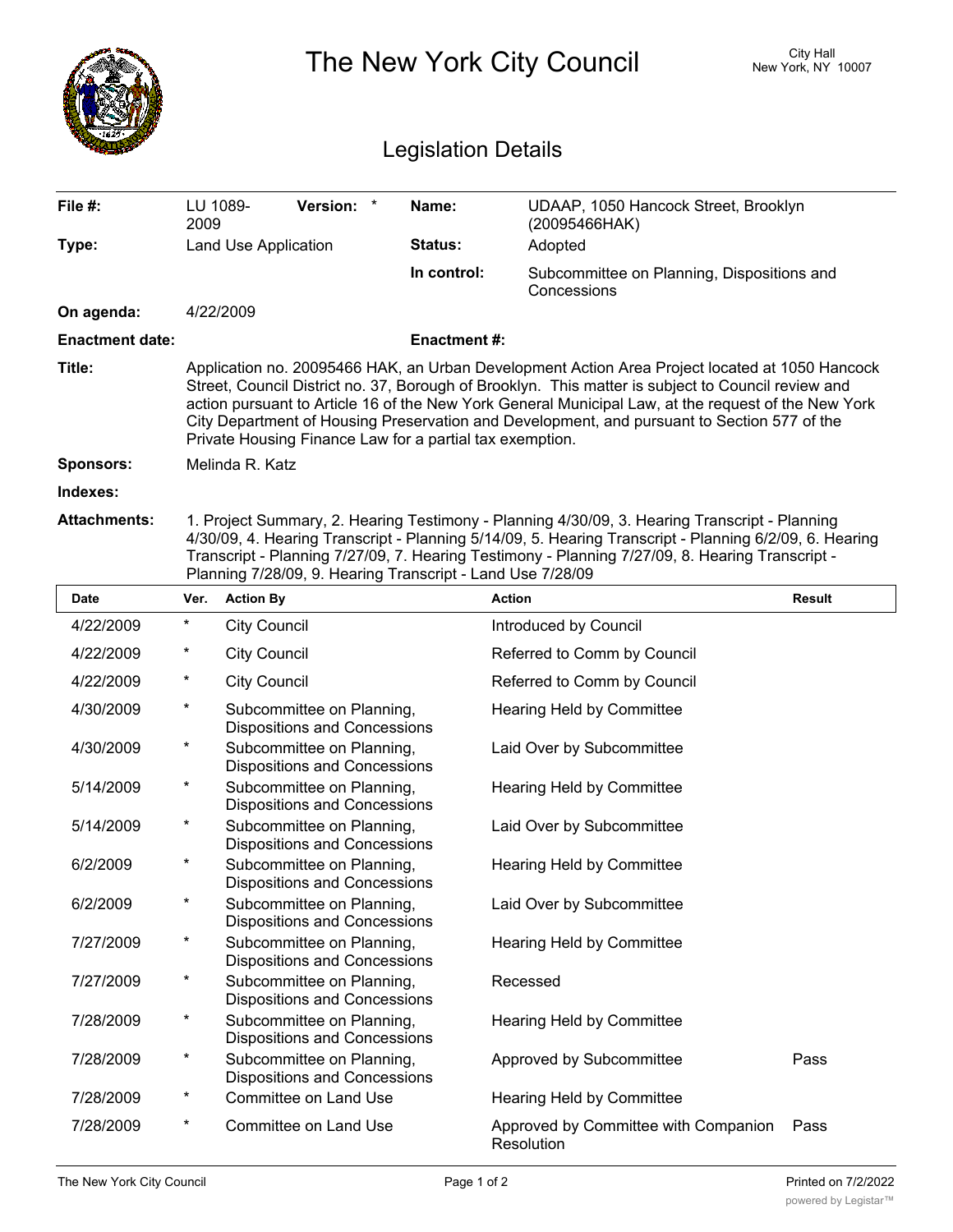|                            | The New York City Council                                                                                                                                                                                                                                                                                                                                                                                                                                              |                                                                  |                    |                                                           | <b>City Hall</b><br>New York, NY 10007 |  |
|----------------------------|------------------------------------------------------------------------------------------------------------------------------------------------------------------------------------------------------------------------------------------------------------------------------------------------------------------------------------------------------------------------------------------------------------------------------------------------------------------------|------------------------------------------------------------------|--------------------|-----------------------------------------------------------|----------------------------------------|--|
| <b>Legislation Details</b> |                                                                                                                                                                                                                                                                                                                                                                                                                                                                        |                                                                  |                    |                                                           |                                        |  |
| File #:                    | LU 1089-<br>2009                                                                                                                                                                                                                                                                                                                                                                                                                                                       | <b>Version:</b>                                                  | Name:              | UDAAP, 1050 Hancock Street, Brooklyn<br>(20095466HAK)     |                                        |  |
| Type:                      | Land Use Application                                                                                                                                                                                                                                                                                                                                                                                                                                                   |                                                                  | Status:            | Adopted                                                   |                                        |  |
|                            |                                                                                                                                                                                                                                                                                                                                                                                                                                                                        |                                                                  | In control:        | Subcommittee on Planning, Dispositions and<br>Concessions |                                        |  |
| On agenda:                 |                                                                                                                                                                                                                                                                                                                                                                                                                                                                        | 4/22/2009                                                        |                    |                                                           |                                        |  |
| <b>Enactment date:</b>     |                                                                                                                                                                                                                                                                                                                                                                                                                                                                        |                                                                  | <b>Enactment#:</b> |                                                           |                                        |  |
| Title:                     | Application no. 20095466 HAK, an Urban Development Action Area Project located at 1050 Hancock<br>Street, Council District no. 37, Borough of Brooklyn. This matter is subject to Council review and<br>action pursuant to Article 16 of the New York General Municipal Law, at the request of the New York<br>City Department of Housing Preservation and Development, and pursuant to Section 577 of the<br>Private Housing Finance Law for a partial tax exemption. |                                                                  |                    |                                                           |                                        |  |
| Sponsors:                  |                                                                                                                                                                                                                                                                                                                                                                                                                                                                        | Melinda R. Katz                                                  |                    |                                                           |                                        |  |
| Indexes:                   |                                                                                                                                                                                                                                                                                                                                                                                                                                                                        |                                                                  |                    |                                                           |                                        |  |
| Attachments:               | 1. Project Summary, 2. Hearing Testimony - Planning 4/30/09, 3. Hearing Transcript - Planning<br>4/30/09, 4. Hearing Transcript - Planning 5/14/09, 5. Hearing Transcript - Planning 6/2/09, 6. Hearing<br>Transcript - Planning 7/27/09, 7. Hearing Testimony - Planning 7/27/09, 8. Hearing Transcript -<br>Planning 7/28/09, 9. Hearing Transcript - Land Use 7/28/09                                                                                               |                                                                  |                    |                                                           |                                        |  |
| Date                       | Ver.                                                                                                                                                                                                                                                                                                                                                                                                                                                                   | <b>Action By</b>                                                 |                    | <b>Action</b>                                             | Result                                 |  |
| 4/22/2009                  | $\ast$                                                                                                                                                                                                                                                                                                                                                                                                                                                                 | <b>City Council</b>                                              |                    | Introduced by Council                                     |                                        |  |
| 4/22/2009                  | *                                                                                                                                                                                                                                                                                                                                                                                                                                                                      | <b>City Council</b>                                              |                    | Referred to Comm by Council                               |                                        |  |
| 4/22/2009                  | $^\star$                                                                                                                                                                                                                                                                                                                                                                                                                                                               | <b>City Council</b>                                              |                    | Referred to Comm by Council                               |                                        |  |
| 4/30/2009                  | $^\star$                                                                                                                                                                                                                                                                                                                                                                                                                                                               | Subcommittee on Planning,<br><b>Dispositions and Concessions</b> |                    | Hearing Held by Committee                                 |                                        |  |
| 4/30/2009                  | $^\star$                                                                                                                                                                                                                                                                                                                                                                                                                                                               | Subcommittee on Planning,<br><b>Dispositions and Concessions</b> |                    | Laid Over by Subcommittee                                 |                                        |  |
| 5/14/2009                  | $\star$                                                                                                                                                                                                                                                                                                                                                                                                                                                                | Subcommittee on Planning,<br>Dispositions and Concessions        |                    | Hearing Held by Committee                                 |                                        |  |
| 5/14/2009                  | $\star$                                                                                                                                                                                                                                                                                                                                                                                                                                                                | Subcommittee on Planning,<br><b>Dispositions and Concessions</b> |                    | Laid Over by Subcommittee                                 |                                        |  |
| 6/2/2009                   | $\ast$                                                                                                                                                                                                                                                                                                                                                                                                                                                                 | Subcommittee on Planning,<br><b>Dispositions and Concessions</b> |                    | Hearing Held by Committee                                 |                                        |  |
| 6/2/2009                   | $\ast$                                                                                                                                                                                                                                                                                                                                                                                                                                                                 | Subcommittee on Planning,<br><b>Dispositions and Concessions</b> |                    | Laid Over by Subcommittee                                 |                                        |  |
| 7/27/2009                  | $\ast$                                                                                                                                                                                                                                                                                                                                                                                                                                                                 | Subcommittee on Planning,<br><b>Dispositions and Concessions</b> |                    | Hearing Held by Committee                                 |                                        |  |
| 7/27/2009                  | $\ast$                                                                                                                                                                                                                                                                                                                                                                                                                                                                 | Subcommittee on Planning,<br>Dispositions and Concessions        |                    | Recessed                                                  |                                        |  |
| 7/28/2009                  | $\star$                                                                                                                                                                                                                                                                                                                                                                                                                                                                | Subcommittee on Planning,<br>Dispositions and Concessions        |                    | Hearing Held by Committee                                 |                                        |  |
| 7/28/2009                  | $\ast$                                                                                                                                                                                                                                                                                                                                                                                                                                                                 | Subcommittee on Planning,<br><b>Dispositions and Concessions</b> |                    | Approved by Subcommittee                                  | Pass                                   |  |
| 7/28/2009                  | $\ast$                                                                                                                                                                                                                                                                                                                                                                                                                                                                 | Committee on Land Use                                            |                    | Hearing Held by Committee                                 |                                        |  |

7/28/2009 \* Committee on Land Use **Approved by Committee with Companion** Pass

Resolution

Approved by Committee with Companion